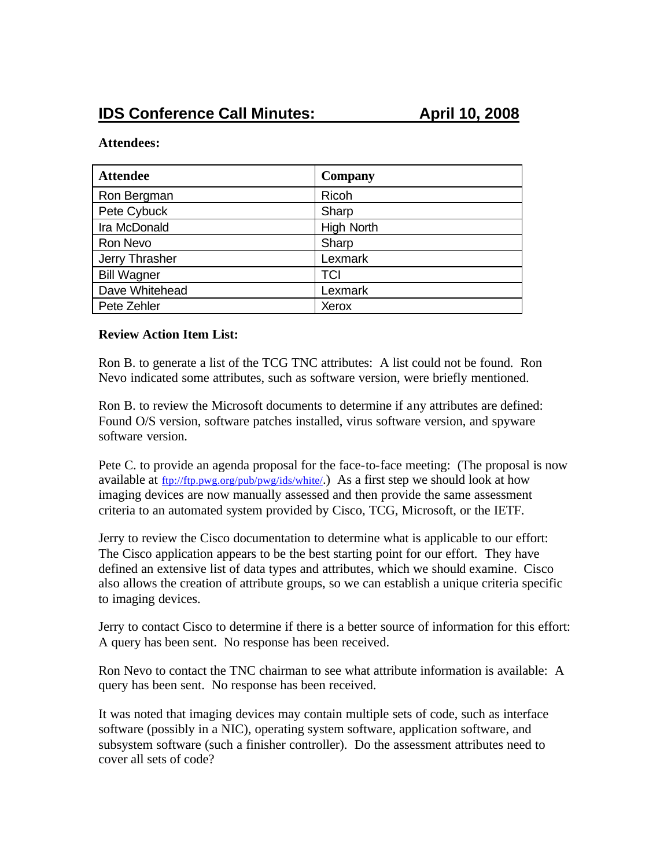## **Attendees:**

| <b>Attendee</b>    | <b>Company</b>    |
|--------------------|-------------------|
| Ron Bergman        | Ricoh             |
| Pete Cybuck        | Sharp             |
| Ira McDonald       | <b>High North</b> |
| Ron Nevo           | Sharp             |
| Jerry Thrasher     | Lexmark           |
| <b>Bill Wagner</b> | TCI               |
| Dave Whitehead     | Lexmark           |
| Pete Zehler        | Xerox             |

## **Review Action Item List:**

Ron B. to generate a list of the TCG TNC attributes: A list could not be found. Ron Nevo indicated some attributes, such as software version, were briefly mentioned.

Ron B. to review the Microsoft documents to determine if any attributes are defined: Found O/S version, software patches installed, virus software version, and spyware software version.

Pete C. to provide an agenda proposal for the face-to-face meeting: (The proposal is now available at  $\underline{ftp://ftp.pwg.org/public/pyg/ids/white/})$  As a first step we should look at how imaging devices are now manually assessed and then provide the same assessment criteria to an automated system provided by Cisco, TCG, Microsoft, or the IETF.

Jerry to review the Cisco documentation to determine what is applicable to our effort: The Cisco application appears to be the best starting point for our effort. They have defined an extensive list of data types and attributes, which we should examine. Cisco also allows the creation of attribute groups, so we can establish a unique criteria specific to imaging devices.

Jerry to contact Cisco to determine if there is a better source of information for this effort: A query has been sent. No response has been received.

Ron Nevo to contact the TNC chairman to see what attribute information is available: A query has been sent. No response has been received.

It was noted that imaging devices may contain multiple sets of code, such as interface software (possibly in a NIC), operating system software, application software, and subsystem software (such a finisher controller). Do the assessment attributes need to cover all sets of code?